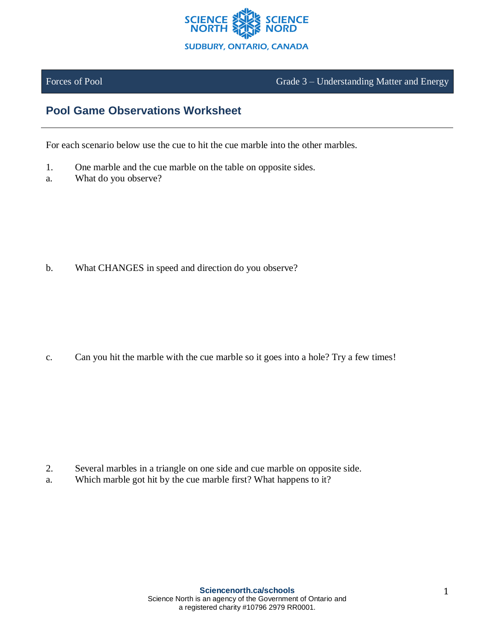

Forces of Pool Grade 3 – Understanding Matter and Energy

## **Pool Game Observations Worksheet**

For each scenario below use the cue to hit the cue marble into the other marbles.

- 1. One marble and the cue marble on the table on opposite sides.
- a. What do you observe?

b. What CHANGES in speed and direction do you observe?

c. Can you hit the marble with the cue marble so it goes into a hole? Try a few times!

- 2. Several marbles in a triangle on one side and cue marble on opposite side.
- a. Which marble got hit by the cue marble first? What happens to it?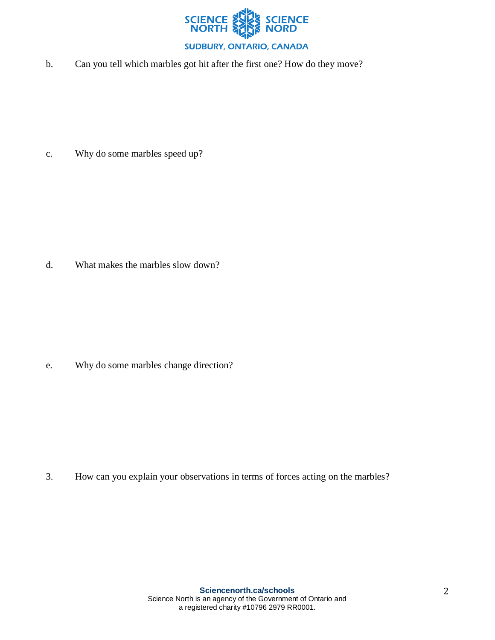

b. Can you tell which marbles got hit after the first one? How do they move?

c. Why do some marbles speed up?

d. What makes the marbles slow down?

e. Why do some marbles change direction?

3. How can you explain your observations in terms of forces acting on the marbles?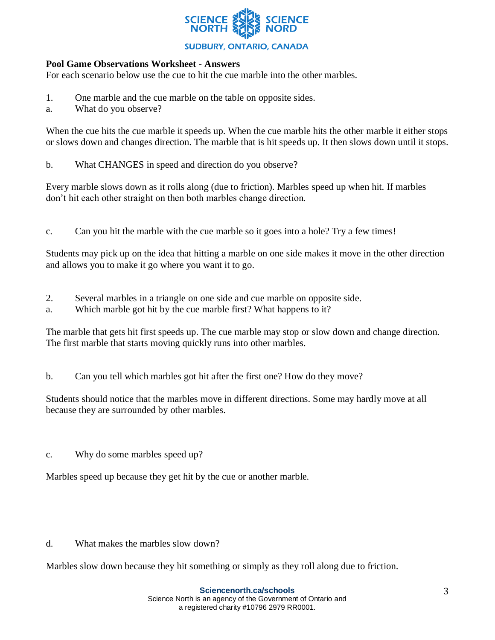

## **Pool Game Observations Worksheet - Answers**

For each scenario below use the cue to hit the cue marble into the other marbles.

- 1. One marble and the cue marble on the table on opposite sides.
- a. What do you observe?

When the cue hits the cue marble it speeds up. When the cue marble hits the other marble it either stops or slows down and changes direction. The marble that is hit speeds up. It then slows down until it stops.

b. What CHANGES in speed and direction do you observe?

Every marble slows down as it rolls along (due to friction). Marbles speed up when hit. If marbles don't hit each other straight on then both marbles change direction.

c. Can you hit the marble with the cue marble so it goes into a hole? Try a few times!

Students may pick up on the idea that hitting a marble on one side makes it move in the other direction and allows you to make it go where you want it to go.

- 2. Several marbles in a triangle on one side and cue marble on opposite side.
- a. Which marble got hit by the cue marble first? What happens to it?

The marble that gets hit first speeds up. The cue marble may stop or slow down and change direction. The first marble that starts moving quickly runs into other marbles.

b. Can you tell which marbles got hit after the first one? How do they move?

Students should notice that the marbles move in different directions. Some may hardly move at all because they are surrounded by other marbles.

c. Why do some marbles speed up?

Marbles speed up because they get hit by the cue or another marble.

d. What makes the marbles slow down?

Marbles slow down because they hit something or simply as they roll along due to friction.